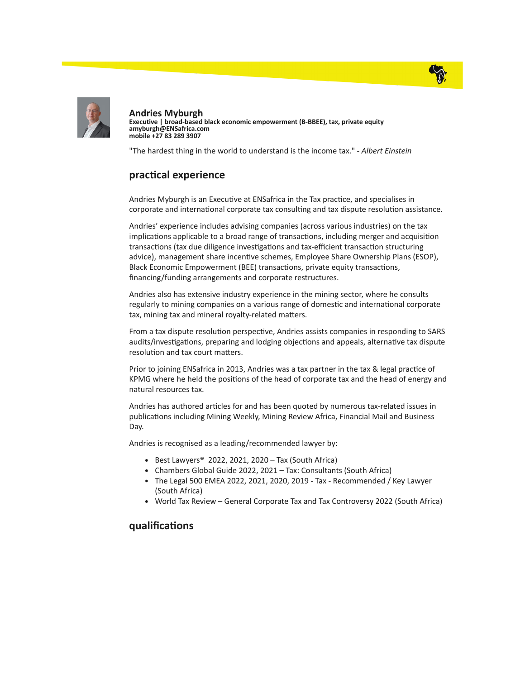



Andries Myburgh Executive | broad-based black economic empowerment (B-BBEE), tax, private equity amyburgh@ENSafrica.com mobile +27 83 289 3907

"The hardest thing in the world to understand is the income tax." - Albert Einstein

## practical experience

Andries Myburgh is an Executive at ENSafrica in the Tax practice, and specialises in corporate and international corporate tax consulting and tax dispute resolution assistance.

Andries' experience includes advising companies (across various industries) on the tax implications applicable to a broad range of transactions, including merger and acquisition transactions (tax due diligence investigations and tax-efficient transaction structuring advice), management share incentive schemes, Employee Share Ownership Plans (ESOP), Black Economic Empowerment (BEE) transactions, private equity transactions, financing/funding arrangements and corporate restructures.

Andries also has extensive industry experience in the mining sector, where he consults regularly to mining companies on a various range of domestic and international corporate tax, mining tax and mineral royalty-related matters.

From a tax dispute resolution perspective, Andries assists companies in responding to SARS audits/investigations, preparing and lodging objections and appeals, alternative tax dispute resolution and tax court matters.

Prior to joining ENSafrica in 2013, Andries was a tax partner in the tax & legal practice of KPMG where he held the positions of the head of corporate tax and the head of energy and natural resources tax.

Andries has authored articles for and has been quoted by numerous tax-related issues in publications including Mining Weekly, Mining Review Africa, Financial Mail and Business Day.

Andries is recognised as a leading/recommended lawyer by:

- Best Lawyers<sup>®</sup> 2022, 2021, 2020 Tax (South Africa)
- Chambers Global Guide 2022, 2021 Tax: Consultants (South Africa)
- The Legal 500 EMEA 2022, 2021, 2020, 2019 Tax Recommended / Key Lawyer (South Africa)
- World Tax Review General Corporate Tax and Tax Controversy 2022 (South Africa)

## qualifications